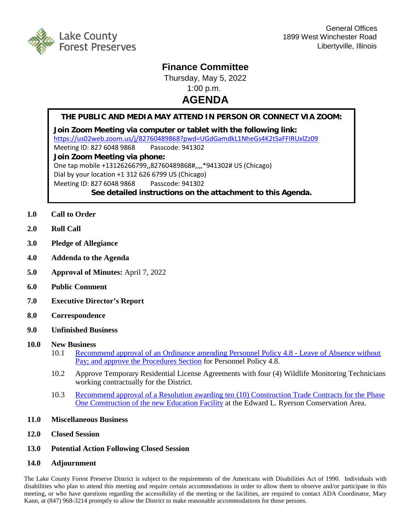

## **Finance Committee**

Thursday, May 5, 2022 1:00 p.m.

## **AGENDA**

## **THE PUBLIC AND MEDIA MAY ATTEND IN PERSON OR CONNECT VIA ZOOM:**

**Join Zoom Meeting via computer or tablet with the following link:** <https://us02web.zoom.us/j/82760489868?pwd=UGdGamdkL1NheGs4K2tSaFFIRUxlZz09> Meeting ID: 827 6048 9868 Passcode: 941302 **Join Zoom Meeting via phone:** One tap mobile +13126266799,,82760489868#,,,,\*941302# US (Chicago) Dial by your location +1 312 626 6799 US (Chicago) Meeting ID: 827 6048 9868 Passcode: 941302 **See detailed instructions on the attachment to this Agenda.**

- **1.0 Call to Order**
- **2.0 Roll Call**
- **3.0 Pledge of Allegiance**
- **4.0 Addenda to the Agenda**
- **5.0 Approval of Minutes:** April 7, 2022
- **6.0 Public Comment**
- **7.0 Executive Director's Report**
- **8.0 Correspondence**
- **9.0 Unfinished Business**
- **10.0 New Business**
	- 10.1 [Recommend approval of an Ordinance amending Personnel Policy 4.8 -](http://www.lcfpd.org/assets/1/28/Ordinance_Amending_Personnel_Policy_4.8_FINAL.pdf) Leave of Absence without Pay; and approve [the Procedures Section](http://www.lcfpd.org/assets/1/28/Ordinance_Amending_Personnel_Policy_4.8_FINAL.pdf) for Personnel Policy 4.8.
	- 10.2 Approve Temporary Residential License Agreements with four (4) Wildlife Monitoring Technicians working contractually for the District.
	- 10.3 [Recommend approval of a Resolution awarding ten \(10\) Construction Trade Contracts for the Phase](http://www.lcfpd.org/assets/1/28/FINAL-ResolutionEducational_Facility_ConstrContracts.pdf)  [One Construction of the new Education Facility](http://www.lcfpd.org/assets/1/28/FINAL-ResolutionEducational_Facility_ConstrContracts.pdf) at the Edward L. Ryerson Conservation Area.
- **11.0 Miscellaneous Business**
- **12.0 Closed Session**
- **13.0 Potential Action Following Closed Session**
- **14.0 Adjournment**

The Lake County Forest Preserve District is subject to the requirements of the Americans with Disabilities Act of 1990. Individuals with disabilities who plan to attend this meeting and require certain accommodations in order to allow them to observe and/or participate in this meeting, or who have questions regarding the accessibility of the meeting or the facilities, are required to contact ADA Coordinator, Mary Kann, at (847) 968-3214 promptly to allow the District to make reasonable accommodations for those persons.